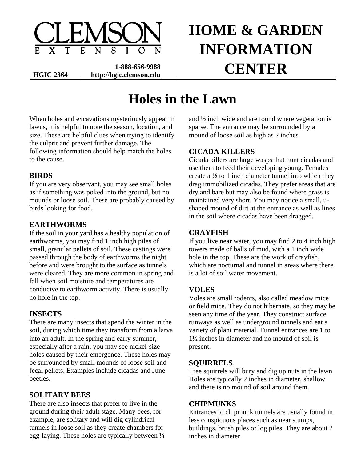

**1-888-656-9988**  HGIC 2364 http://hgic.clemson.edu <br> **CENTER** 

# **HOME & GARDEN INFORMATION**

# **Holes in the Lawn**

When holes and excavations mysteriously appear in lawns, it is helpful to note the season, location, and size. These are helpful clues when trying to identify the culprit and prevent further damage. The following information should help match the holes to the cause.

# **BIRDS**

If you are very observant, you may see small holes as if something was poked into the ground, but no mounds or loose soil. These are probably caused by birds looking for food.

# **EARTHWORMS**

If the soil in your yard has a healthy population of earthworms, you may find 1 inch high piles of small, granular pellets of soil. These castings were passed through the body of earthworms the night before and were brought to the surface as tunnels were cleared. They are more common in spring and fall when soil moisture and temperatures are conducive to earthworm activity. There is usually no hole in the top.

# **INSECTS**

There are many insects that spend the winter in the soil, during which time they transform from a larva into an adult. In the spring and early summer, especially after a rain, you may see nickel-size holes caused by their emergence. These holes may be surrounded by small mounds of loose soil and fecal pellets. Examples include cicadas and June beetles.

# **SOLITARY BEES**

There are also insects that prefer to live in the ground during their adult stage. Many bees, for example, are solitary and will dig cylindrical tunnels in loose soil as they create chambers for egg-laying. These holes are typically between ¼ and ½ inch wide and are found where vegetation is sparse. The entrance may be surrounded by a mound of loose soil as high as 2 inches.

# **CICADA KILLERS**

Cicada killers are large wasps that hunt cicadas and use them to feed their developing young. Females create a  $\frac{1}{2}$  to 1 inch diameter tunnel into which they drag immobilized cicadas. They prefer areas that are dry and bare but may also be found where grass is maintained very short. You may notice a small, ushaped mound of dirt at the entrance as well as lines in the soil where cicadas have been dragged.

#### **CRAYFISH**

If you live near water, you may find 2 to 4 inch high towers made of balls of mud, with a 1 inch wide hole in the top. These are the work of crayfish, which are nocturnal and tunnel in areas where there is a lot of soil water movement.

# **VOLES**

Voles are small rodents, also called meadow mice or field mice. They do not hibernate, so they may be seen any time of the year. They construct surface runways as well as underground tunnels and eat a variety of plant material. Tunnel entrances are 1 to 1½ inches in diameter and no mound of soil is present.

#### **SQUIRRELS**

Tree squirrels will bury and dig up nuts in the lawn. Holes are typically 2 inches in diameter, shallow and there is no mound of soil around them.

#### **CHIPMUNKS**

Entrances to chipmunk tunnels are usually found in less conspicuous places such as near stumps, buildings, brush piles or log piles. They are about 2 inches in diameter.